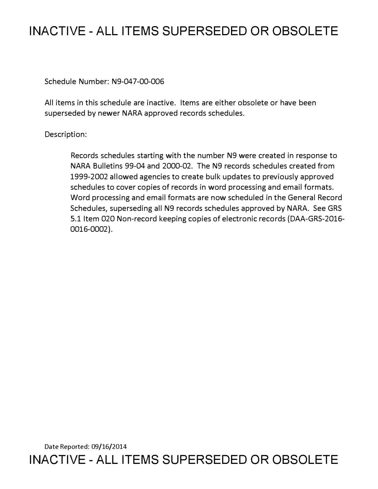## **INACTIVE - ALL ITEMS SUPERSEDED OR OBSOLETE**

Schedule Number: N9-047-00-006

All items in this schedule are inactive. Items are either obsolete or have been superseded by newer NARA approved records schedules.

## Description:

Records schedules starting with the number N9 were created in response to NARA Bulletins 99-04 and 2000-02. The N9 records schedules created from 1999-2002 allowed agencies to create bulk updates to previously approved schedules to cover copies of records in word processing and email formats. Word processing and email formats are now scheduled in the General Record Schedules, superseding all N9 records schedules approved by NARA. See GRS 5.1 Item 020 Non-record keeping copies of electronic records (DAA-GRS-2016- 0016-0002).

Date Reported: 09/16/2014 **INACTIVE - ALL ITEMS SUPERSEDED OR OBSOLETE**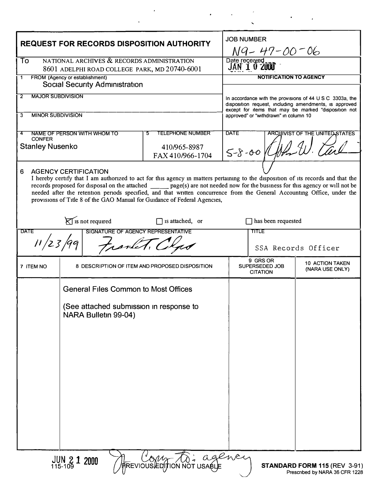| <b>REQUEST FOR RECORDS DISPOSITION AUTHORITY</b>                                                                                                                                                                                                                                                                                                                                                                                                                                                                                                                                            |                                                                 |                                                | <b>JOB NUMBER</b><br>N9- 47-00 <sup>-06</sup>                                                                                                                                          |                                           |
|---------------------------------------------------------------------------------------------------------------------------------------------------------------------------------------------------------------------------------------------------------------------------------------------------------------------------------------------------------------------------------------------------------------------------------------------------------------------------------------------------------------------------------------------------------------------------------------------|-----------------------------------------------------------------|------------------------------------------------|----------------------------------------------------------------------------------------------------------------------------------------------------------------------------------------|-------------------------------------------|
| To<br>NATIONAL ARCHIVES & RECORDS ADMINISTRATION<br>8601 ADELPHI ROAD COLLEGE PARK, MD 20740-6001                                                                                                                                                                                                                                                                                                                                                                                                                                                                                           |                                                                 |                                                | Date received<br>JAN 1 0 2000                                                                                                                                                          |                                           |
| FROM (Agency or establishment)<br>1                                                                                                                                                                                                                                                                                                                                                                                                                                                                                                                                                         |                                                                 |                                                | <b>NOTIFICATION TO AGENCY</b>                                                                                                                                                          |                                           |
| <b>Social Security Administration</b><br><b>MAJOR SUBDIVISION</b><br>2                                                                                                                                                                                                                                                                                                                                                                                                                                                                                                                      |                                                                 |                                                |                                                                                                                                                                                        |                                           |
|                                                                                                                                                                                                                                                                                                                                                                                                                                                                                                                                                                                             |                                                                 |                                                | In accordance with the provisions of $44 \cup S \subset 3303$ a, the<br>disposition request, including amendments, is approved<br>except for items that may be marked "disposition not |                                           |
| <b>MINOR SUBDIVISION</b><br>3                                                                                                                                                                                                                                                                                                                                                                                                                                                                                                                                                               |                                                                 |                                                | approved" or "withdrawn" in column 10                                                                                                                                                  |                                           |
| 4<br><b>CONFER</b>                                                                                                                                                                                                                                                                                                                                                                                                                                                                                                                                                                          | NAME OF PERSON WITH WHOM TO                                     | <b>TELEPHONE NUMBER</b><br>5                   | <b>DATE</b><br><b>ARCHIVIST OF THE UNITED STATES</b>                                                                                                                                   |                                           |
| <b>Stanley Nusenko</b>                                                                                                                                                                                                                                                                                                                                                                                                                                                                                                                                                                      |                                                                 | 410/965-8987<br>FAX 410/966-1704               | $5-8-00$ ( $10-10$                                                                                                                                                                     |                                           |
| <b>AGENCY CERTIFICATION</b><br>6<br>I hereby certify that I am authorized to act for this agency in matters pertaining to the disposition of its records and that the<br>records proposed for disposal on the attached ______ page(s) are not needed now for the business for this agency or will not be<br>needed after the retention periods specified, and that written concurrence from the General Accounting Office, under the<br>provisions of Title 8 of the GAO Manual for Guidance of Federal Agencies,<br>$\sum$ is not required<br>$\Box$ is attached, or<br>has been requested |                                                                 |                                                |                                                                                                                                                                                        |                                           |
| <b>DATE</b><br><b>TITLE</b><br>SIGNATURE OF AGENCY REPRESENTATIVE                                                                                                                                                                                                                                                                                                                                                                                                                                                                                                                           |                                                                 |                                                |                                                                                                                                                                                        |                                           |
| 11/23/99<br>transfert. Ch                                                                                                                                                                                                                                                                                                                                                                                                                                                                                                                                                                   |                                                                 |                                                |                                                                                                                                                                                        | SSA Records Officer                       |
| 7 ITEM NO                                                                                                                                                                                                                                                                                                                                                                                                                                                                                                                                                                                   |                                                                 | 8 DESCRIPTION OF ITEM AND PROPOSED DISPOSITION | 9 GRS OR<br>SUPERSEDED JOB<br><b>CITATION</b>                                                                                                                                          | <b>10 ACTION TAKEN</b><br>(NARA USE ONLY) |
|                                                                                                                                                                                                                                                                                                                                                                                                                                                                                                                                                                                             | <b>General Files Common to Most Offices</b>                     |                                                |                                                                                                                                                                                        |                                           |
|                                                                                                                                                                                                                                                                                                                                                                                                                                                                                                                                                                                             | (See attached submission in response to<br>NARA Bulletin 99-04) |                                                |                                                                                                                                                                                        |                                           |
|                                                                                                                                                                                                                                                                                                                                                                                                                                                                                                                                                                                             |                                                                 |                                                |                                                                                                                                                                                        |                                           |
|                                                                                                                                                                                                                                                                                                                                                                                                                                                                                                                                                                                             |                                                                 |                                                |                                                                                                                                                                                        |                                           |
|                                                                                                                                                                                                                                                                                                                                                                                                                                                                                                                                                                                             |                                                                 |                                                |                                                                                                                                                                                        |                                           |
|                                                                                                                                                                                                                                                                                                                                                                                                                                                                                                                                                                                             |                                                                 |                                                |                                                                                                                                                                                        |                                           |
|                                                                                                                                                                                                                                                                                                                                                                                                                                                                                                                                                                                             |                                                                 |                                                |                                                                                                                                                                                        |                                           |
| A Com To: agency<br>$JUN_{115-109}$ 1 2000<br>STANDARD FORM 115 (REV 3-91)<br>Prescribed by NARA 36 CFR 1228                                                                                                                                                                                                                                                                                                                                                                                                                                                                                |                                                                 |                                                |                                                                                                                                                                                        |                                           |

 $\label{eq:2.1} \mathcal{F}(\mathcal{F}) = \mathcal{F}(\mathcal{F}) \quad \text{and} \quad \mathcal{F}(\mathcal{F}) = \mathcal{F}(\mathcal{F}) \quad \text{and} \quad \mathcal{F}(\mathcal{F}) = \mathcal{F}(\mathcal{F}) \quad \text{and} \quad \mathcal{F}(\mathcal{F}) = \mathcal{F}(\mathcal{F}) \quad \text{and} \quad \mathcal{F}(\mathcal{F}) = \mathcal{F}(\mathcal{F}) \quad \text{and} \quad \mathcal{F}(\mathcal{F}) = \mathcal{F}(\mathcal{F}) \quad \text{and} \quad \mathcal{F}(\$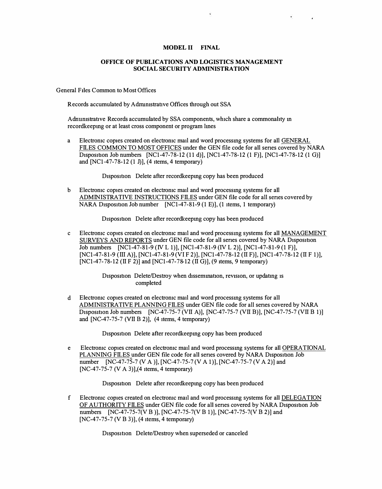## **MODEL II FINAL**

 $\overline{\phantom{a}}$ 

## **OFFICE OF PUBLICATIONS AND LOGISTICS MANAGEMENT SOCIAL SECURITY ADMINISTRATION**

General Files Common to Most Offices

Records accumulated by Adnumstrative Offices through out SSA

Adnumstrative Records accumulated by SSA components, which share a commonality in recordkeepmg or at least cross component or program Imes

a Electromc copies created on electromc mail and word processmg systems for all GENERAL FILES COMMON TO MOST OFFICES under the GEN file code for all senes covered by NARA Disposition Job numbers  $[NC1-47-78-12 (11 d)], [NC1-47-78-12 (1 F)], [NC1-47-78-12 (1 G)]$ and [NCI-47-78 -12 (I J)], (4 items, 4 temporary)

Disposition Delete after recordkeeping copy has been produced

b Electromc copies created on electromc mail and word processmg systems for all ADMINISTRATIVE INSTRUCTIONS FILES under GEN file code for all senes covered by NARA Disposition Job number  $[NC1-47-81-9 (1 E)]$ , (1 items, 1 temporary)

Disposition Delete after recordkeeping copy has been produced

c Electronic copies created on electronic mail and word processing systems for all MANAGEMENT SURVEYS AND REPORTS under GEN file code for all series covered by NARA Disposition Job numbers [NC1-47-81-9 (IV L 1)], [NC1-47-81-9 (IV L 2)], [NC1-47-81-9 (1 F)], [NCI-47-8 1-9 (III A)], [NCI-47-8 1-9 (VI F 2)], [NCI-47-78 -12 (II F)], [NCI-47-78 -12 (II F I)], [NC1-47-78-12 (II F 2)] and [NC1-47-78-12 (II G)], (9 items, 9 temporary)

> Disposition Delete/Destroy when dissemination, revision, or updating is completed

d Electromc copies created on electromc mail and word processmg systems for all ADMINISTRATIVE PLANNING FILES under GEN file code for all senes covered by NARA Disposition Job numbers [NC-47-75-7 (VII A)], [NC-47-75-7 (VII B)], [NC-47-75-7 (VII B 1)] and [NC-47-75-7 (VII B 2)], (4 items, 4 temporary)

Disposition Delete after recordkeeping copy has been produced

e Electromc copies created on electromc mail and word processmg systems for all OPERATIONAL PLANNING FILES under GEN file code for all series covered by NARA Disposition Job number [NC-47-75-7 (V A )], [NC-47-75-7 (V A 1)], [NC-47-75-7 (V A 2)] and [NC-47-75-7 (V A 3)],(4 items, 4 temporary)

D<sub>1</sub>sposition Delete after recordkeeping copy has been produced

f Electromc copies created on electromc mail and word processmg systems for all DELEGATION OF AUTHORITY FILES under GEN file code for all series covered by NARA Disposition Job numbers [NC-47-75-7(V B )], [NC-47-75-7(V B 1)], [NC-47-75-7(V B 2)] and [NC-47-75-7 (V B 3)], (4 items, 4 temporary)

Disposition Delete/Destroy when superseded or canceled